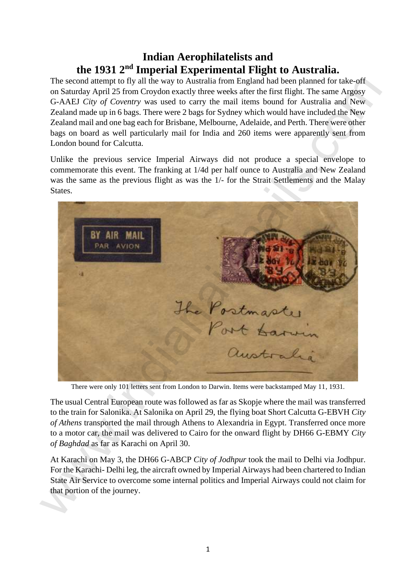# **Indian Aerophilatelists and the 1931 2nd Imperial Experimental Flight to Australia.**

The second attempt to fly all the way to Australia from England had been planned for take-off on Saturday April 25 from Croydon exactly three weeks after the first flight. The same Argosy G-AAEJ *City of Coventry* was used to carry the mail items bound for Australia and New Zealand made up in 6 bags. There were 2 bags for Sydney which would have included the New Zealand mail and one bag each for Brisbane, Melbourne, Adelaide, and Perth. There were other bags on board as well particularly mail for India and 260 items were apparently sent from London bound for Calcutta.

Unlike the previous service Imperial Airways did not produce a special envelope to commemorate this event. The franking at 1/4d per half ounce to Australia and New Zealand was the same as the previous flight as was the 1/- for the Strait Settlements and the Malay States.



There were only 101 letters sent from London to Darwin. Items were backstamped May 11, 1931.

The usual Central European route was followed as far as Skopje where the mail was transferred to the train for Salonika. At Salonika on April 29, the flying boat Short Calcutta G-EBVH *City of Athens* transported the mail through Athens to Alexandria in Egypt. Transferred once more to a motor car, the mail was delivered to Cairo for the onward flight by DH66 G-EBMY *City of Baghdad* as far as Karachi on April 30.

At Karachi on May 3, the DH66 G-ABCP *City of Jodhpur* took the mail to Delhi via Jodhpur. For the Karachi- Delhi leg, the aircraft owned by Imperial Airways had been chartered to Indian State Air Service to overcome some internal politics and Imperial Airways could not claim for that portion of the journey.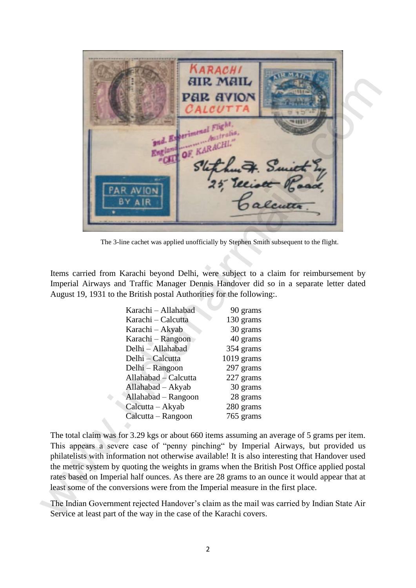![](_page_1_Picture_0.jpeg)

The 3-line cachet was applied unofficially by Stephen Smith subsequent to the flight.

Items carried from Karachi beyond Delhi, were subject to a claim for reimbursement by Imperial Airways and Traffic Manager Dennis Handover did so in a separate letter dated August 19, 1931 to the British postal Authorities for the following:.

| Karachi – Allahabad  | 90 grams     |  |
|----------------------|--------------|--|
| Karachi – Calcutta   | 130 grams    |  |
| Karachi – Akyab      | 30 grams     |  |
| Karachi – Rangoon    | 40 grams     |  |
| Delhi - Allahabad    | 354 grams    |  |
| Delhi – Calcutta     | $1019$ grams |  |
| Delhi – Rangoon      | 297 grams    |  |
| Allahabad – Calcutta | 227 grams    |  |
| Allahabad - Akyab    | 30 grams     |  |
| Allahabad – Rangoon  | 28 grams     |  |
| Calcutta - Akyab     | 280 grams    |  |
| Calcutta – Rangoon   | 765 grams    |  |

The total claim was for 3.29 kgs or about 660 items assuming an average of 5 grams per item. This appears a severe case of "penny pinching" by Imperial Airways, but provided us philatelists with information not otherwise available! It is also interesting that Handover used the metric system by quoting the weights in grams when the British Post Office applied postal rates based on Imperial half ounces. As there are 28 grams to an ounce it would appear that at least some of the conversions were from the Imperial measure in the first place.

The Indian Government rejected Handover's claim as the mail was carried by Indian State Air Service at least part of the way in the case of the Karachi covers.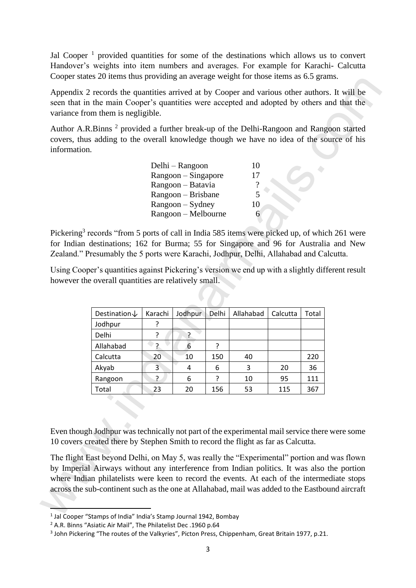Jal Cooper<sup>1</sup> provided quantities for some of the destinations which allows us to convert Handover's weights into item numbers and averages. For example for Karachi- Calcutta Cooper states 20 items thus providing an average weight for those items as 6.5 grams.

| Delhi – Rangoon     | 10 |
|---------------------|----|
| $Rangoon-Singapore$ | 17 |
| Rangoon – Batavia   | ?  |
| Rangoon – Brisbane  | 5  |
| $Rangoon - Sydney$  | 10 |
| Rangoon – Melbourne | რ  |

| information. | covers, thus adding to the overall knowledge though we have no idea of the source of his                                                                                                                                                           |                |                                                                      |        |                       |           |            |  |
|--------------|----------------------------------------------------------------------------------------------------------------------------------------------------------------------------------------------------------------------------------------------------|----------------|----------------------------------------------------------------------|--------|-----------------------|-----------|------------|--|
|              |                                                                                                                                                                                                                                                    |                | Delhi - Rangoon                                                      |        | 10                    |           |            |  |
|              |                                                                                                                                                                                                                                                    |                | Rangoon - Singapore                                                  |        | 17                    |           |            |  |
|              |                                                                                                                                                                                                                                                    |                | Rangoon - Batavia                                                    |        | $\boldsymbol{?}$<br>5 |           |            |  |
|              |                                                                                                                                                                                                                                                    |                | Rangoon – Brisbane<br>Rangoon - Sydney                               |        | 10                    |           |            |  |
|              |                                                                                                                                                                                                                                                    |                | Rangoon - Melbourne                                                  |        | 6                     |           |            |  |
|              | Zealand." Presumably the 5 ports were Karachi, Jodhpur, Delhi, Allahabad and Calcutta.<br>Using Cooper's quantities against Pickering's version we end up with a slightly different result<br>however the overall quantities are relatively small. |                |                                                                      |        |                       |           |            |  |
|              |                                                                                                                                                                                                                                                    |                |                                                                      |        |                       |           |            |  |
|              | Destination↓                                                                                                                                                                                                                                       | Karachi        | Jodhpur                                                              | Delhi  | Allahabad             | Calcutta  | Total      |  |
|              | Jodhpur                                                                                                                                                                                                                                            | ?              |                                                                      |        |                       |           |            |  |
|              | Delhi                                                                                                                                                                                                                                              | ?              | $\overline{?}$                                                       |        |                       |           |            |  |
|              | Allahabad                                                                                                                                                                                                                                          | $\overline{?}$ | 6                                                                    | ?      |                       |           |            |  |
|              | Calcutta                                                                                                                                                                                                                                           | 20             | 10                                                                   | 150    | 40                    |           | 220        |  |
|              | Akyab                                                                                                                                                                                                                                              | 3<br>?         | 4<br>6                                                               | 6<br>? | 3                     | 20        | 36         |  |
|              |                                                                                                                                                                                                                                                    |                |                                                                      |        |                       |           |            |  |
|              | Rangoon<br>Total<br>Even though Jodhpur was technically not part of the experimental mail service there were some                                                                                                                                  | 23             | $\begin{array}{ c c c c c } \hline & 20 & 156 \\ \hline \end{array}$ |        | 10<br>53              | 95<br>115 | 111<br>367 |  |

<sup>&</sup>lt;sup>1</sup> Jal Cooper "Stamps of India" India's Stamp Journal 1942, Bombay

<sup>&</sup>lt;sup>2</sup> A.R. Binns "Asiatic Air Mail". The Philatelist Dec .1960 p.64

<sup>&</sup>lt;sup>3</sup> John Pickering "The routes of the Valkyries", Picton Press, Chippenham, Great Britain 1977, p.21.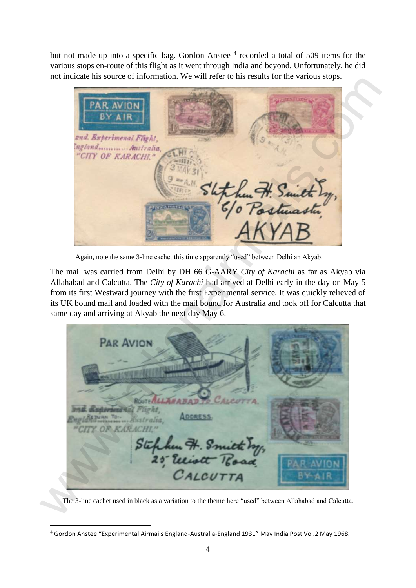but not made up into a specific bag. Gordon Anstee<sup>4</sup> recorded a total of 509 items for the various stops en-route of this flight as it went through India and beyond. Unfortunately, he did not indicate his source of information. We will refer to his results for the various stops.

Again, note the same 3-line cachet this time apparently "used" between Delhi an Akyab.

The mail was carried from Delhi by DH 66 G-AARY *City of Karachi* as far as Akyab via Allahabad and Calcutta. The *City of Karachi* had arrived at Delhi early in the day on May 5 from its first Westward journey with the first Experimental service. It was quickly relieved of its UK bound mail and loaded with the mail bound for Australia and took off for Calcutta that same day and arriving at Akyab the next day May 6.

FRAND THE AVENUE AND SURFACE CREATED AND MANUSCRIPT CREATED AND MANUSCRIPT CREATED AND AND SURFACE CREATED AND MANUSCRIPT CREATED AND SURFACE CREATED AND MANUSCRIPT CREATED AND MANUSCRIPT CREATED AND CALCULATED AND SURFAC

The 3-line cachet used in black as a variation to the theme here "used" between Allahabad and Calcutta.

<sup>&</sup>lt;sup>4</sup> Gordon Anstee "Experimental Airmails England-Australia-England 1931" May India Post Vol.2 May 1968.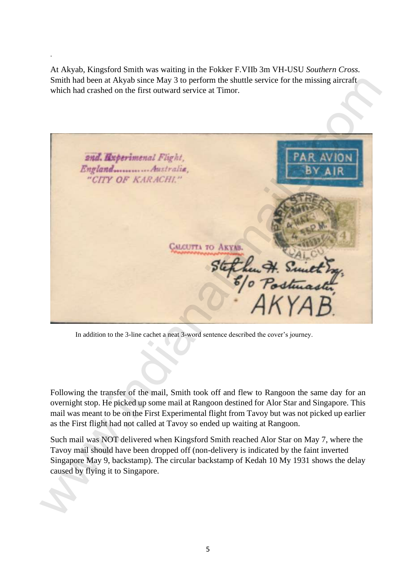At Akyab, Kingsford Smith was waiting in the Fokker F.VIIb 3m VH-USU *Southern Cross.* Smith had been at Akyab since May 3 to perform the shuttle service for the missing aircraft which had crashed on the first outward service at Timor.

.

![](_page_4_Picture_1.jpeg)

In addition to the 3-line cachet a neat 3-word sentence described the cover's journey.

Following the transfer of the mail, Smith took off and flew to Rangoon the same day for an overnight stop. He picked up some mail at Rangoon destined for Alor Star and Singapore. This mail was meant to be on the First Experimental flight from Tavoy but was not picked up earlier as the First flight had not called at Tavoy so ended up waiting at Rangoon.

Such mail was NOT delivered when Kingsford Smith reached Alor Star on May 7, where the Tavoy mail should have been dropped off (non-delivery is indicated by the faint inverted Singapore May 9, backstamp). The circular backstamp of Kedah 10 My 1931 shows the delay caused by flying it to Singapore.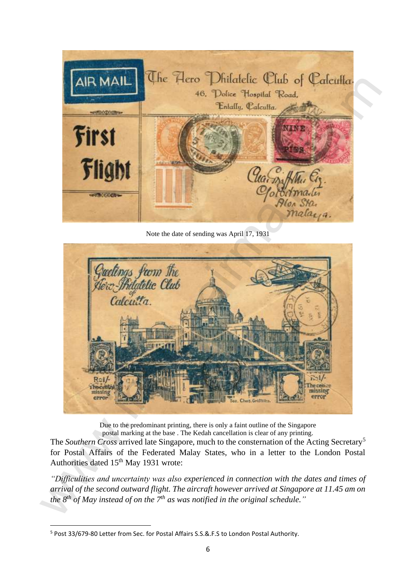![](_page_5_Picture_0.jpeg)

Note the date of sending was April 17, 1931

![](_page_5_Picture_2.jpeg)

Due to the predominant printing, there is only a faint outline of the Singapore postal marking at the base . The Kedah cancellation is clear of any printing.

The *Southern Cross* arrived late Singapore, much to the consternation of the Acting Secretary<sup>5</sup> for Postal Affairs of the Federated Malay States, who in a letter to the London Postal Authorities dated 15<sup>th</sup> May 1931 wrote:

*"Difficulities and uncertainty was also experienced in connection with the dates and times of arrival of the second outward flight. The aircraft however arrived at Singapore at 11.45 am on the 8th of May instead of on the 7th as was notified in the original schedule."*

<sup>&</sup>lt;sup>5</sup> Post 33/679-80 Letter from Sec. for Postal Affairs S.S.&.F.S to London Postal Authority.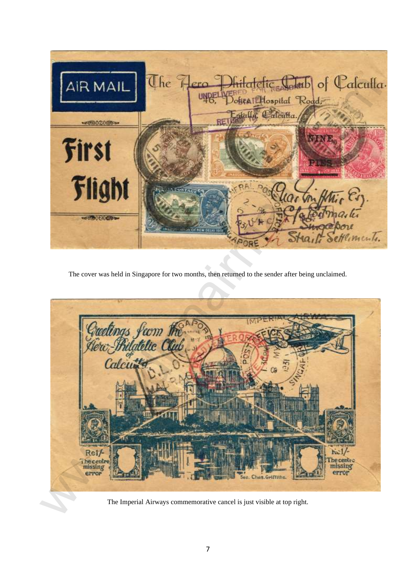![](_page_6_Picture_0.jpeg)

The cover was held in Singapore for two months, then returned to the sender after being unclaimed.

![](_page_6_Picture_2.jpeg)

The Imperial Airways commemorative cancel is just visible at top right.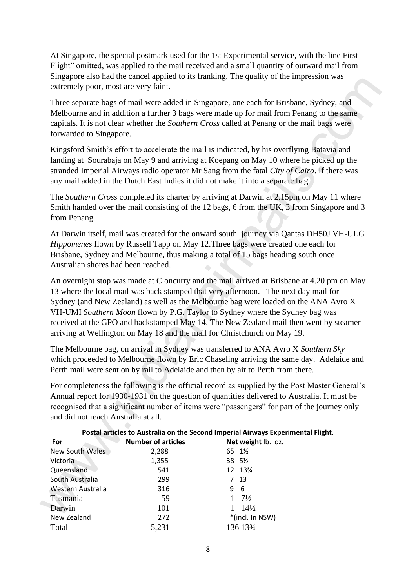At Singapore, the special postmark used for the 1st Experimental service, with the line First Flight" omitted, was applied to the mail received and a small quantity of outward mail from Singapore also had the cancel applied to its franking. The quality of the impression was extremely poor, most are very faint.

| extremely poor, most are very faint. |                           | Singapore also had the cancel applied to its framing. The quality of the impression was                                                                                                                                                                                                                                                                                                                                                                                                                                        |
|--------------------------------------|---------------------------|--------------------------------------------------------------------------------------------------------------------------------------------------------------------------------------------------------------------------------------------------------------------------------------------------------------------------------------------------------------------------------------------------------------------------------------------------------------------------------------------------------------------------------|
| forwarded to Singapore.              |                           | Three separate bags of mail were added in Singapore, one each for Brisbane, Sydney, and<br>Melbourne and in addition a further 3 bags were made up for mail from Penang to the same<br>capitals. It is not clear whether the Southern Cross called at Penang or the mail bags were                                                                                                                                                                                                                                             |
|                                      |                           | Kingsford Smith's effort to accelerate the mail is indicated, by his overflying Batavia and<br>landing at Sourabaja on May 9 and arriving at Koepang on May 10 where he picked up the<br>stranded Imperial Airways radio operator Mr Sang from the fatal City of Cairo. If there was<br>any mail added in the Dutch East Indies it did not make it into a separate bag                                                                                                                                                         |
| from Penang.                         |                           | The Southern Cross completed its charter by arriving at Darwin at 2.15pm on May 11 where<br>Smith handed over the mail consisting of the 12 bags, 6 from the UK, 3 from Singapore and 3                                                                                                                                                                                                                                                                                                                                        |
| Australian shores had been reached.  |                           | At Darwin itself, mail was created for the onward south journey via Qantas DH50J VH-ULG<br>Hippomenes flown by Russell Tapp on May 12. Three bags were created one each for<br>Brisbane, Sydney and Melbourne, thus making a total of 15 bags heading south once                                                                                                                                                                                                                                                               |
|                                      |                           | An overnight stop was made at Cloncurry and the mail arrived at Brisbane at 4.20 pm on May<br>13 where the local mail was back stamped that very afternoon. The next day mail for<br>Sydney (and New Zealand) as well as the Melbourne bag were loaded on the ANA Avro X<br>VH-UMI Southern Moon flown by P.G. Taylor to Sydney where the Sydney bag was<br>received at the GPO and backstamped May 14. The New Zealand mail then went by steamer<br>arriving at Wellington on May 18 and the mail for Christchurch on May 19. |
|                                      |                           | The Melbourne bag, on arrival in Sydney was transferred to ANA Avro X Southern Sky<br>which proceeded to Melbourne flown by Eric Chaseling arriving the same day. Adelaide and<br>Perth mail were sent on by rail to Adelaide and then by air to Perth from there.                                                                                                                                                                                                                                                             |
| and did not reach Australia at all.  |                           | For completeness the following is the official record as supplied by the Post Master General's<br>Annual report for 1930-1931 on the question of quantities delivered to Australia. It must be<br>recognised that a significant number of items were "passengers" for part of the journey only                                                                                                                                                                                                                                 |
|                                      |                           | Postal articles to Australia on the Second Imperial Airways Experimental Flight.                                                                                                                                                                                                                                                                                                                                                                                                                                               |
| For                                  | <b>Number of articles</b> | Net weight lb. oz.                                                                                                                                                                                                                                                                                                                                                                                                                                                                                                             |
| New South Wales                      | 2,288                     | 65 1½                                                                                                                                                                                                                                                                                                                                                                                                                                                                                                                          |
| Victoria                             | 1,355                     | 38 51/2                                                                                                                                                                                                                                                                                                                                                                                                                                                                                                                        |
| Queensland                           | 541                       | 12 13%                                                                                                                                                                                                                                                                                                                                                                                                                                                                                                                         |
| South Australia<br>Western Australia | 299<br>316                | 7 <sub>13</sub><br>6<br>9                                                                                                                                                                                                                                                                                                                                                                                                                                                                                                      |
| Tasmania                             | 59                        | $7\frac{1}{2}$<br>1                                                                                                                                                                                                                                                                                                                                                                                                                                                                                                            |
| Darwin                               | 101                       | $14\frac{1}{2}$<br>1                                                                                                                                                                                                                                                                                                                                                                                                                                                                                                           |
| New Zealand                          | 272                       | *(incl. In NSW)                                                                                                                                                                                                                                                                                                                                                                                                                                                                                                                |
| Total                                | 5,231                     | 136 1334                                                                                                                                                                                                                                                                                                                                                                                                                                                                                                                       |
|                                      |                           |                                                                                                                                                                                                                                                                                                                                                                                                                                                                                                                                |

# **Postal articles to Australia on the Second Imperial Airways Experimental Flight.**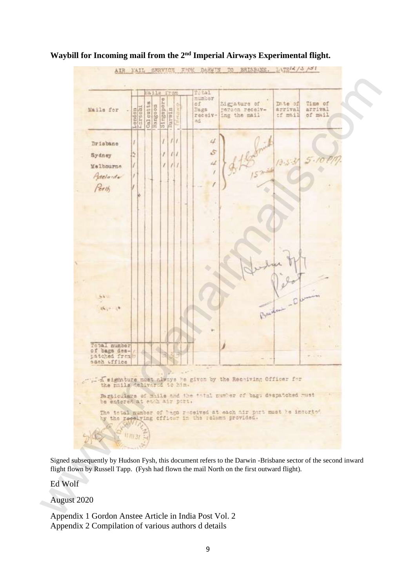![](_page_8_Figure_0.jpeg)

## **Waybill for Incoming mail from the 2nd Imperial Airways Experimental flight.**

Signed subsequently by Hudson Fysh, this document refers to the Darwin -Brisbane sector of the second inward flight flown by Russell Tapp. (Fysh had flown the mail North on the first outward flight).

Ed Wolf

August 2020

Appendix 1 Gordon Anstee Article in India Post Vol. 2 Appendix 2 Compilation of various authors d details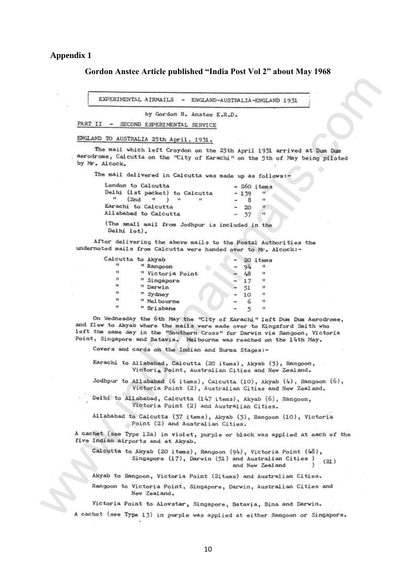### **Appendix 1**

### **Gordon Anstee Article published "India Post Vol 2" about May 1968**

| London to Calcutta    |                     |  |                                                 |        | $-260$ items |
|-----------------------|---------------------|--|-------------------------------------------------|--------|--------------|
|                       |                     |  | Delhi (1st packet) to Calcutta                  | $-139$ | ा।           |
| <b>FEL.</b>           | (2nd <sup>n</sup> ) |  | $-118$                                          |        | 11           |
| Karachi to Calcutta   |                     |  |                                                 | 20     | $+11$        |
| Allababad to Calcutta |                     |  |                                                 | $-37$  | $\mathbf{u}$ |
|                       |                     |  | (The small mail from Jodhpur is included in the |        |              |

| EXPERIMENTAL AIRMAILS - ENGLAND-AUSTRALIA-ENGLAND 1931                                                                                          |                                                                                                                                                       |
|-------------------------------------------------------------------------------------------------------------------------------------------------|-------------------------------------------------------------------------------------------------------------------------------------------------------|
| by Gordon R. Anstee E.R.D.                                                                                                                      |                                                                                                                                                       |
| PART II - SECOND EXPERIMENTAL SERVICE                                                                                                           |                                                                                                                                                       |
| ENGLAMD TO AUSTRALIA 25th April, 1931.                                                                                                          |                                                                                                                                                       |
| by Mr. Alcock.                                                                                                                                  | The mail which left Croydon on the 25th April 1931 arrived at Dum Dum<br>aerodrome, Calcutta on the "City of Karachi" on the 5th of May being piloted |
| The mail delivered in Calcutta was made up as follows:-                                                                                         |                                                                                                                                                       |
| London to Calcutta                                                                                                                              | $-260$ items                                                                                                                                          |
| Delhi (1st packet) to Calcutta<br>n                                                                                                             | $-139$                                                                                                                                                |
| (2nd)<br>**<br>n<br>$\lambda$ , $\mu$<br>Karachi to Calcutta                                                                                    | 8<br>11<br>Ħ                                                                                                                                          |
| Allababad to Calcutta                                                                                                                           | 20<br>п.<br>37                                                                                                                                        |
|                                                                                                                                                 |                                                                                                                                                       |
| (The small mail from Jodhpur is included in the<br>Delhi lot).                                                                                  |                                                                                                                                                       |
| undernoted mails from Calcutta were handed over to Mr. Alcock :-                                                                                | After delivering the above mails to the Postal Authorities the                                                                                        |
| Calcutta to Akyab                                                                                                                               | 20 items                                                                                                                                              |
| u<br>" Rangoon                                                                                                                                  | 18<br>94                                                                                                                                              |
| н<br>" Victoria Point                                                                                                                           | 48<br>Ħ                                                                                                                                               |
| Ħ<br>" Singapore                                                                                                                                | п<br>17                                                                                                                                               |
| u<br>" Darwin                                                                                                                                   | Ħ<br>51                                                                                                                                               |
| Ħ<br>" Sydney<br>n                                                                                                                              | 11<br>10                                                                                                                                              |
| " Mel bourne<br>Ħ<br>" Brisbane                                                                                                                 | п<br>6<br>5<br>Ħ                                                                                                                                      |
| and flew to Akyab where the mails were made over to Kingsford Smith who<br>Point, Singapore and Batavia. Melbourne was reached on the 14th May. | On Wednesday the 6th May the "City of Karachi" left Dum Dum Aerodrome,<br>left the same day in the "Southern Cross" for Darwin via Rangoon, Victoria  |
| Covers and cards on the Indian and Burma Stages :-                                                                                              |                                                                                                                                                       |
|                                                                                                                                                 | Karachi to Allababad, Calcutta (20 items), Akyab (3), Rangoon,<br>Victoria Point, Australian Cities and New Zealand.                                  |
|                                                                                                                                                 | Jodhpur to Allabahad (6 items), Calcutta $(10)$ , Akyah $(4)$ , Rangoon $(6)$ ,<br>Victoria Point (2), Australian Cities and New Zealand.             |
| Delhi to Allababad, Calcutta (147 items), Akyab (6), Rangoon,                                                                                   | Victoria Point (2) and Australian Cities.                                                                                                             |
| Point (2) and Australian Cities.                                                                                                                | Allababad to Calcutta (37 items), Akyab (3), Rangoon (10), Victoria                                                                                   |
| five Indian airports and at Akyab.                                                                                                              | A cachet (see Type 12a) in violet, purple or black was applied at each of the                                                                         |
|                                                                                                                                                 | Calcutta to Akyab (20 items), Rangoon (94), Victoria Point (48),<br>Singapore (17), Darwin (51) and Australian Cities )<br>(21)<br>and New Zealand    |
|                                                                                                                                                 | Akyab to Rangoon, Victoria Point (2items) and Australian Cities.                                                                                      |
|                                                                                                                                                 |                                                                                                                                                       |
| New Zealand.                                                                                                                                    | Rangoon to Victoria Point, Singapore, Darwin, Australian Cities and                                                                                   |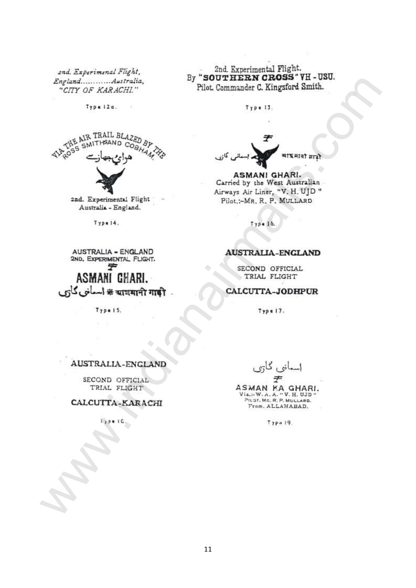2nd. Experimenal Flight,

![](_page_10_Picture_2.jpeg)

Explained CALCULUS and the state of the state of the state of the state of the state of the state of the state of the state of the state of the state of the state of the state of the state of the state of the state of the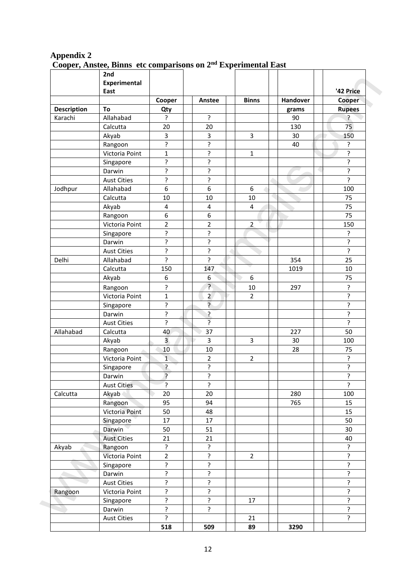|                    | 2nd<br><b>Experimental</b> |                         |                           |                |          |                     |
|--------------------|----------------------------|-------------------------|---------------------------|----------------|----------|---------------------|
|                    | East                       |                         |                           |                |          | '42 Price           |
|                    |                            | Cooper                  | Anstee                    | <b>Binns</b>   | Handover | Cooper              |
| <b>Description</b> | To                         | Qty                     |                           |                | grams    | <b>Rupees</b>       |
| Karachi            | Allahabad                  | ç.                      | ?                         |                | 90       | $\mathbf{?}$        |
|                    | Calcutta                   | 20                      | 20                        |                | 130      | 75                  |
|                    | Akyab                      | $\mathsf 3$             | 3                         | 3              | 30       | 150                 |
|                    | Rangoon                    | ?                       | ?                         |                | 40       | ?                   |
|                    | Victoria Point             | $\mathbf{1}$            | ŗ                         | $\mathbf{1}$   |          | $\tilde{.}$         |
|                    | Singapore                  | ?                       | ?                         |                |          | ?                   |
|                    | Darwin                     | ?                       | ?                         |                |          | $\overline{?}$      |
|                    | <b>Aust Cities</b>         | ?                       | ?                         |                |          | $\overline{?}$      |
| Jodhpur            | Allahabad                  | 6                       | 6                         | 6              |          | 100                 |
|                    | Calcutta                   | $10\,$                  | $10\,$                    | $10\,$         |          | 75                  |
|                    | Akyab                      | $\overline{\mathbf{4}}$ | $\overline{4}$            | $\overline{4}$ |          | 75                  |
|                    | Rangoon                    | $\boldsymbol{6}$        | 6                         |                |          | 75                  |
|                    | Victoria Point             | $\overline{2}$          | $\overline{2}$            | $\overline{2}$ |          | 150                 |
|                    | Singapore                  | ŗ                       | ŗ                         |                |          | Ś.                  |
|                    | Darwin                     | ?                       | ?                         |                |          | ŗ                   |
|                    | <b>Aust Cities</b>         | ?                       | ?                         |                |          | $\overline{\cdot}$  |
| Delhi              | Allahabad                  | ?                       | ?                         |                | 354      | 25                  |
|                    | Calcutta                   | 150                     | 147                       |                | 1019     | 10                  |
|                    | Akyab                      | 6                       | 6                         | 6              |          | 75                  |
|                    |                            |                         | ?                         |                |          |                     |
|                    | Rangoon                    | ?                       |                           | $10\,$         | 297      | $\tilde{.}$         |
|                    | Victoria Point             | $\mathbf{1}$            | $2^{1}$<br>$\overline{?}$ | $\overline{2}$ |          | ?<br>$\overline{?}$ |
|                    | Singapore                  | ŗ                       |                           |                |          |                     |
|                    | Darwin                     | ŗ<br>?                  | ŗ<br>$\overline{?}$       |                |          | ŗ<br>$\overline{?}$ |
|                    | <b>Aust Cities</b>         |                         |                           |                |          |                     |
| Allahabad          | Calcutta                   | 40                      | 37                        |                | 227      | 50                  |
|                    | Akyab                      | $\overline{\mathbf{3}}$ | $\overline{3}$            | $\overline{3}$ | 30       | 100                 |
|                    | Rangoon                    | 10                      | 10                        |                | 28       | 75                  |
|                    | Victoria Point             | $\mathbf{1}$            | $\overline{2}$            | $\overline{2}$ |          | $\overline{?}$      |
|                    | Singapore                  | ?                       | ŗ                         |                |          | ?                   |
|                    | Darwin                     | $\overline{?}$          | ŗ                         |                |          | ?                   |
|                    | <b>Aust Cities</b>         | $\overline{?}$          | ŗ                         |                |          | $\overline{?}$      |
| Calcutta           | Akyab                      | 20                      | 20                        |                | 280      | 100                 |
|                    | Rangoon                    | 95                      | 94                        |                | 765      | 15                  |
|                    | Victoria Point             | 50                      | 48                        |                |          | 15                  |
|                    | Singapore                  | 17                      | 17                        |                |          | 50                  |
|                    | <b>Darwin</b>              | 50                      | 51                        |                |          | 30                  |
|                    | <b>Aust Cities</b>         | 21                      | 21                        |                |          | 40                  |
| Akyab              | Rangoon                    | $\overline{?}$          | ŗ                         |                |          | $\mathbf{S}$        |
|                    | Victoria Point             | $\overline{2}$          | ?                         | $\overline{2}$ |          | Ś.                  |
|                    | Singapore                  | ŗ                       | ŗ                         |                |          | ŗ                   |
|                    | Darwin                     | ?                       | ŗ                         |                |          | ċ.                  |
|                    | <b>Aust Cities</b>         | ?                       | ?                         |                |          | ?                   |
| Rangoon            | Victoria Point             | ?                       | ?                         |                |          | $\overline{?}$      |
|                    | Singapore                  | ?                       | ?                         | 17             |          | $\overline{?}$      |
|                    | Darwin                     | ?                       | ŗ                         |                |          | ?                   |
|                    | <b>Aust Cities</b>         | $\overline{\cdot}$      |                           | 21             |          | $\overline{?}$      |
|                    |                            | 518                     | 509                       | 89             | 3290     |                     |

## **Appendix 2 Cooper, Anstee, Binns etc comparisons on 2nd Experimental East**